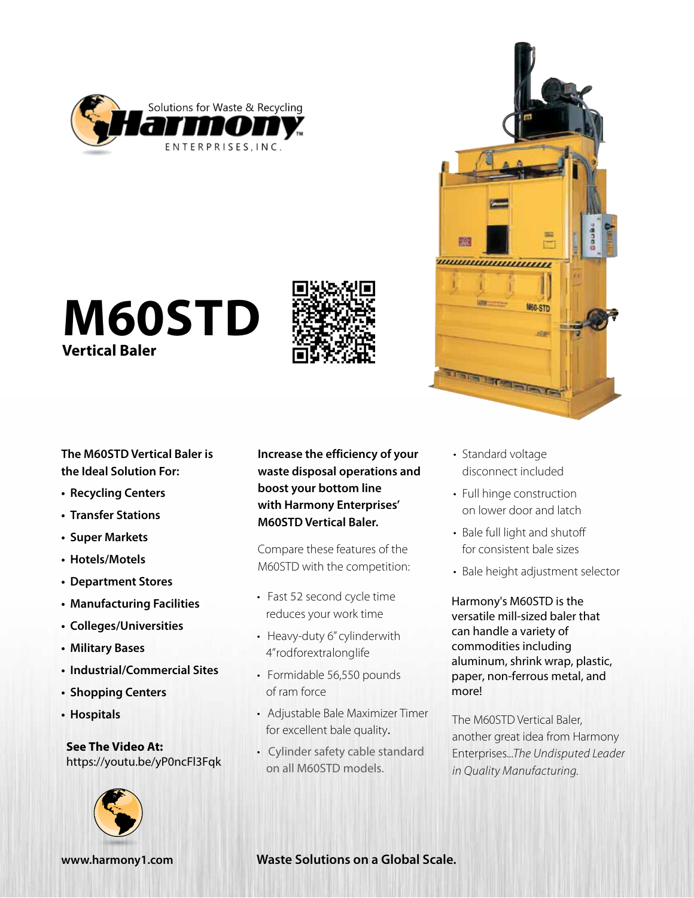

# **M60STD Vertical Baler**



**The M60STD Vertical Baler is the Ideal Solution For:**

- **• Recycling Centers**
- **• Transfer Stations**
- **• Super Markets**
- **• Hotels/Motels**
- **• Department Stores**
- **• Manufacturing Facilities**
- **• Colleges/Universities**
- **• Military Bases**
- **• Industrial/Commercial Sites**
- **• Shopping Centers**
- **• Hospitals**

**See The Video At:** <https://youtu.be/yP0ncFl3Fqk> **Increase the efficiency of your waste disposal operations and boost your bottom line with Harmony Enterprises' M60STD Vertical Baler.** 

Compare these features of the M60STD with the competition:

- Fast 52 second cycle time reduces your work time
- Heavy-duty 6" cylinder with 4" rodfor extral onglife
- Formidable 56,550 pounds of ram force
- Adjustable Bale Maximizer Timer for excellent bale quality.
- Cylinder safety cable standard on all M60STD models.



,,,,,,,,,,,,,,,,,,,,,,,,,,,,,,

THE LITTLE

M60-STD

- Full hinge construction on lower door and latch
- Bale full light and shutoff for consistent bale sizes
- Bale height adjustment selector

Harmony's M60STD is the versatile mill-sized baler that can handle a variety of commodities including aluminum, shrink wrap, plastic, paper, non-ferrous metal, and more!

The M60STD Vertical Baler, another great idea from Harmony Enterprises...*The Undisputed Leader in Quality Manufacturing.*



## **[www.harmony1.com](http://www.harmony1.com) Waste Solutions on a Global Scale.**